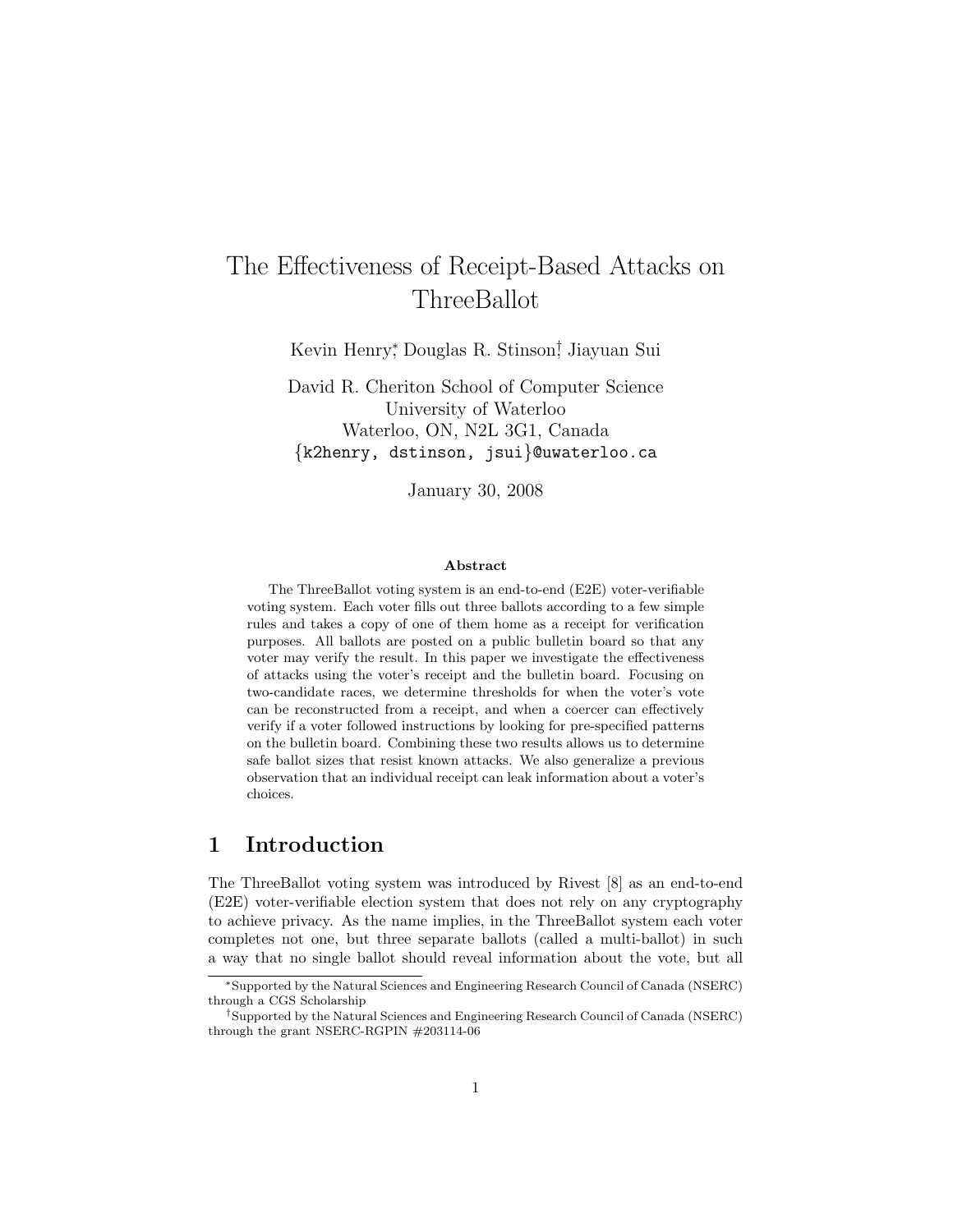# The Effectiveness of Receipt-Based Attacks on ThreeBallot

Kevin Henry<sup>∗</sup> , Douglas R. Stinson† , Jiayuan Sui

David R. Cheriton School of Computer Science University of Waterloo Waterloo, ON, N2L 3G1, Canada {k2henry, dstinson, jsui}@uwaterloo.ca

January 30, 2008

#### Abstract

The ThreeBallot voting system is an end-to-end (E2E) voter-verifiable voting system. Each voter fills out three ballots according to a few simple rules and takes a copy of one of them home as a receipt for verification purposes. All ballots are posted on a public bulletin board so that any voter may verify the result. In this paper we investigate the effectiveness of attacks using the voter's receipt and the bulletin board. Focusing on two-candidate races, we determine thresholds for when the voter's vote can be reconstructed from a receipt, and when a coercer can effectively verify if a voter followed instructions by looking for pre-specified patterns on the bulletin board. Combining these two results allows us to determine safe ballot sizes that resist known attacks. We also generalize a previous observation that an individual receipt can leak information about a voter's choices.

# 1 Introduction

The ThreeBallot voting system was introduced by Rivest [8] as an end-to-end (E2E) voter-verifiable election system that does not rely on any cryptography to achieve privacy. As the name implies, in the ThreeBallot system each voter completes not one, but three separate ballots (called a multi-ballot) in such a way that no single ballot should reveal information about the vote, but all

<sup>∗</sup>Supported by the Natural Sciences and Engineering Research Council of Canada (NSERC) through a CGS Scholarship

<sup>†</sup>Supported by the Natural Sciences and Engineering Research Council of Canada (NSERC) through the grant NSERC-RGPIN #203114-06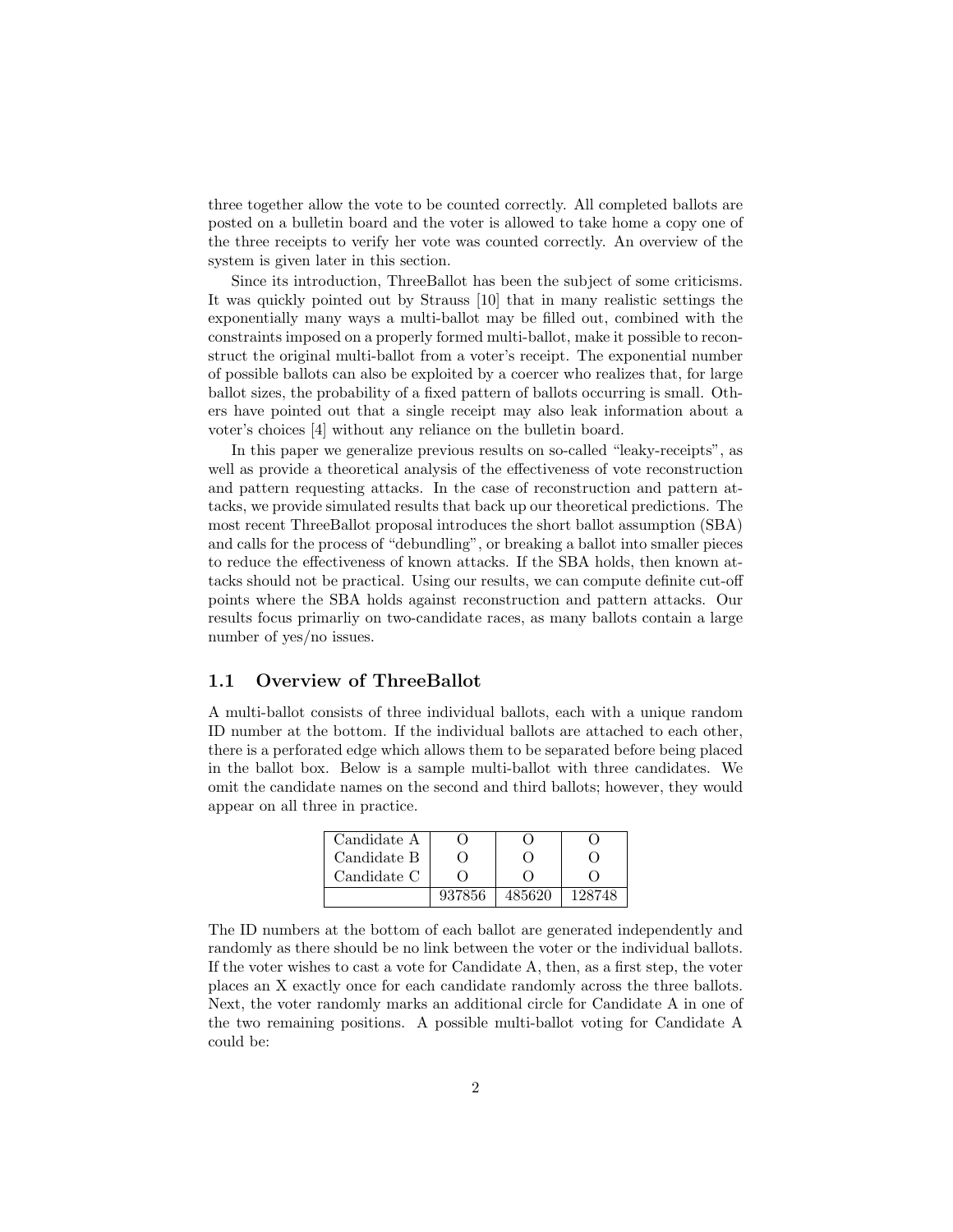three together allow the vote to be counted correctly. All completed ballots are posted on a bulletin board and the voter is allowed to take home a copy one of the three receipts to verify her vote was counted correctly. An overview of the system is given later in this section.

Since its introduction, ThreeBallot has been the subject of some criticisms. It was quickly pointed out by Strauss [10] that in many realistic settings the exponentially many ways a multi-ballot may be filled out, combined with the constraints imposed on a properly formed multi-ballot, make it possible to reconstruct the original multi-ballot from a voter's receipt. The exponential number of possible ballots can also be exploited by a coercer who realizes that, for large ballot sizes, the probability of a fixed pattern of ballots occurring is small. Others have pointed out that a single receipt may also leak information about a voter's choices [4] without any reliance on the bulletin board.

In this paper we generalize previous results on so-called "leaky-receipts", as well as provide a theoretical analysis of the effectiveness of vote reconstruction and pattern requesting attacks. In the case of reconstruction and pattern attacks, we provide simulated results that back up our theoretical predictions. The most recent ThreeBallot proposal introduces the short ballot assumption (SBA) and calls for the process of "debundling", or breaking a ballot into smaller pieces to reduce the effectiveness of known attacks. If the SBA holds, then known attacks should not be practical. Using our results, we can compute definite cut-off points where the SBA holds against reconstruction and pattern attacks. Our results focus primarliy on two-candidate races, as many ballots contain a large number of yes/no issues.

### 1.1 Overview of ThreeBallot

A multi-ballot consists of three individual ballots, each with a unique random ID number at the bottom. If the individual ballots are attached to each other, there is a perforated edge which allows them to be separated before being placed in the ballot box. Below is a sample multi-ballot with three candidates. We omit the candidate names on the second and third ballots; however, they would appear on all three in practice.

| Candidate A |        |        |        |
|-------------|--------|--------|--------|
| Candidate B |        |        |        |
| Candidate C |        |        |        |
|             | 937856 | 485620 | 128748 |

The ID numbers at the bottom of each ballot are generated independently and randomly as there should be no link between the voter or the individual ballots. If the voter wishes to cast a vote for Candidate A, then, as a first step, the voter places an X exactly once for each candidate randomly across the three ballots. Next, the voter randomly marks an additional circle for Candidate A in one of the two remaining positions. A possible multi-ballot voting for Candidate A could be: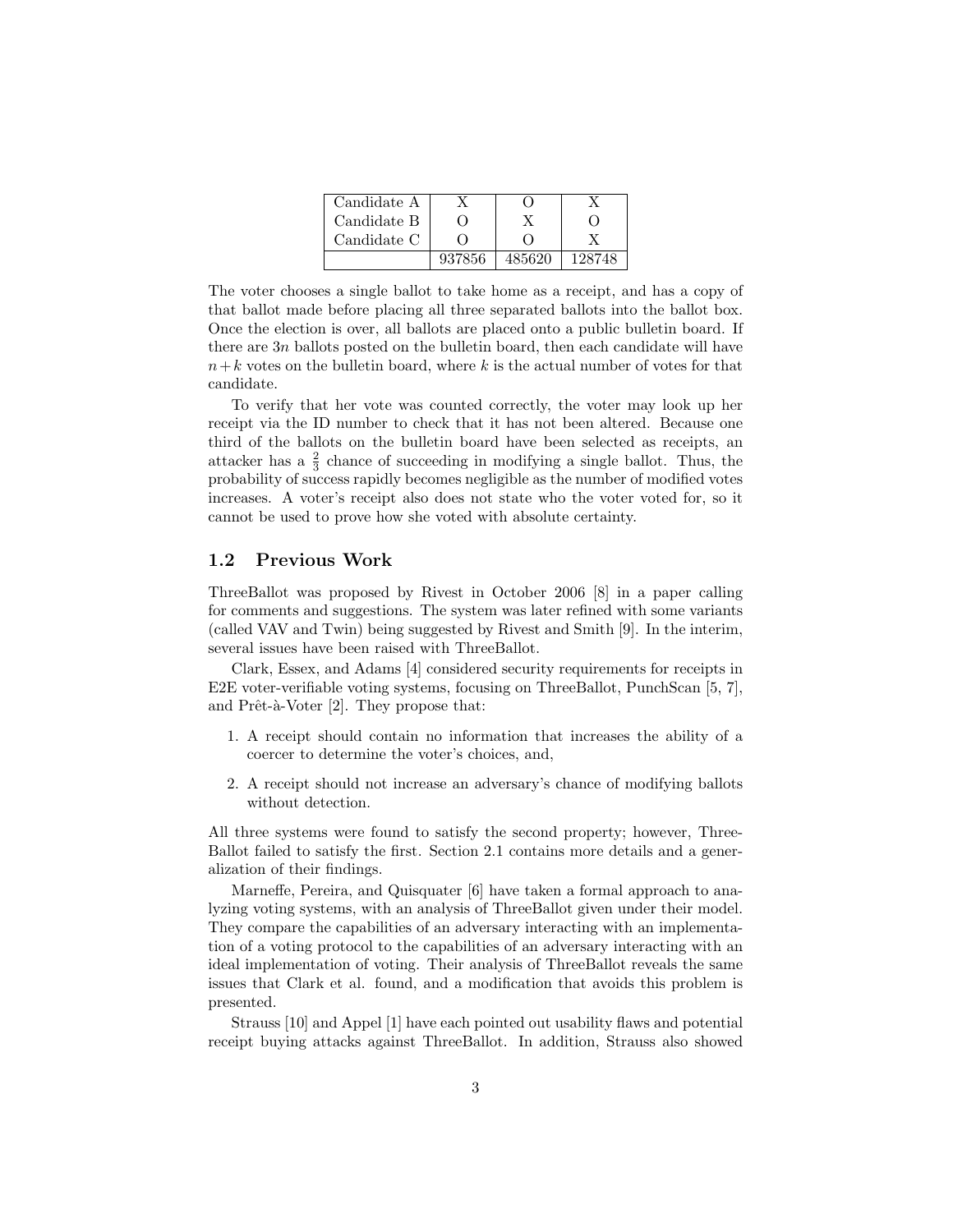| Candidate A |        |        |        |
|-------------|--------|--------|--------|
| Candidate B |        |        |        |
| Candidate C |        |        |        |
|             | 937856 | 485620 | 128748 |

The voter chooses a single ballot to take home as a receipt, and has a copy of that ballot made before placing all three separated ballots into the ballot box. Once the election is over, all ballots are placed onto a public bulletin board. If there are 3n ballots posted on the bulletin board, then each candidate will have  $n+k$  votes on the bulletin board, where k is the actual number of votes for that candidate.

To verify that her vote was counted correctly, the voter may look up her receipt via the ID number to check that it has not been altered. Because one third of the ballots on the bulletin board have been selected as receipts, an attacker has a  $\frac{2}{3}$  chance of succeeding in modifying a single ballot. Thus, the probability of success rapidly becomes negligible as the number of modified votes increases. A voter's receipt also does not state who the voter voted for, so it cannot be used to prove how she voted with absolute certainty.

### 1.2 Previous Work

ThreeBallot was proposed by Rivest in October 2006 [8] in a paper calling for comments and suggestions. The system was later refined with some variants (called VAV and Twin) being suggested by Rivest and Smith [9]. In the interim, several issues have been raised with ThreeBallot.

Clark, Essex, and Adams [4] considered security requirements for receipts in E2E voter-verifiable voting systems, focusing on ThreeBallot, PunchScan [5, 7], and Prêt-à-Voter  $[2]$ . They propose that:

- 1. A receipt should contain no information that increases the ability of a coercer to determine the voter's choices, and,
- 2. A receipt should not increase an adversary's chance of modifying ballots without detection.

All three systems were found to satisfy the second property; however, Three-Ballot failed to satisfy the first. Section 2.1 contains more details and a generalization of their findings.

Marneffe, Pereira, and Quisquater [6] have taken a formal approach to analyzing voting systems, with an analysis of ThreeBallot given under their model. They compare the capabilities of an adversary interacting with an implementation of a voting protocol to the capabilities of an adversary interacting with an ideal implementation of voting. Their analysis of ThreeBallot reveals the same issues that Clark et al. found, and a modification that avoids this problem is presented.

Strauss [10] and Appel [1] have each pointed out usability flaws and potential receipt buying attacks against ThreeBallot. In addition, Strauss also showed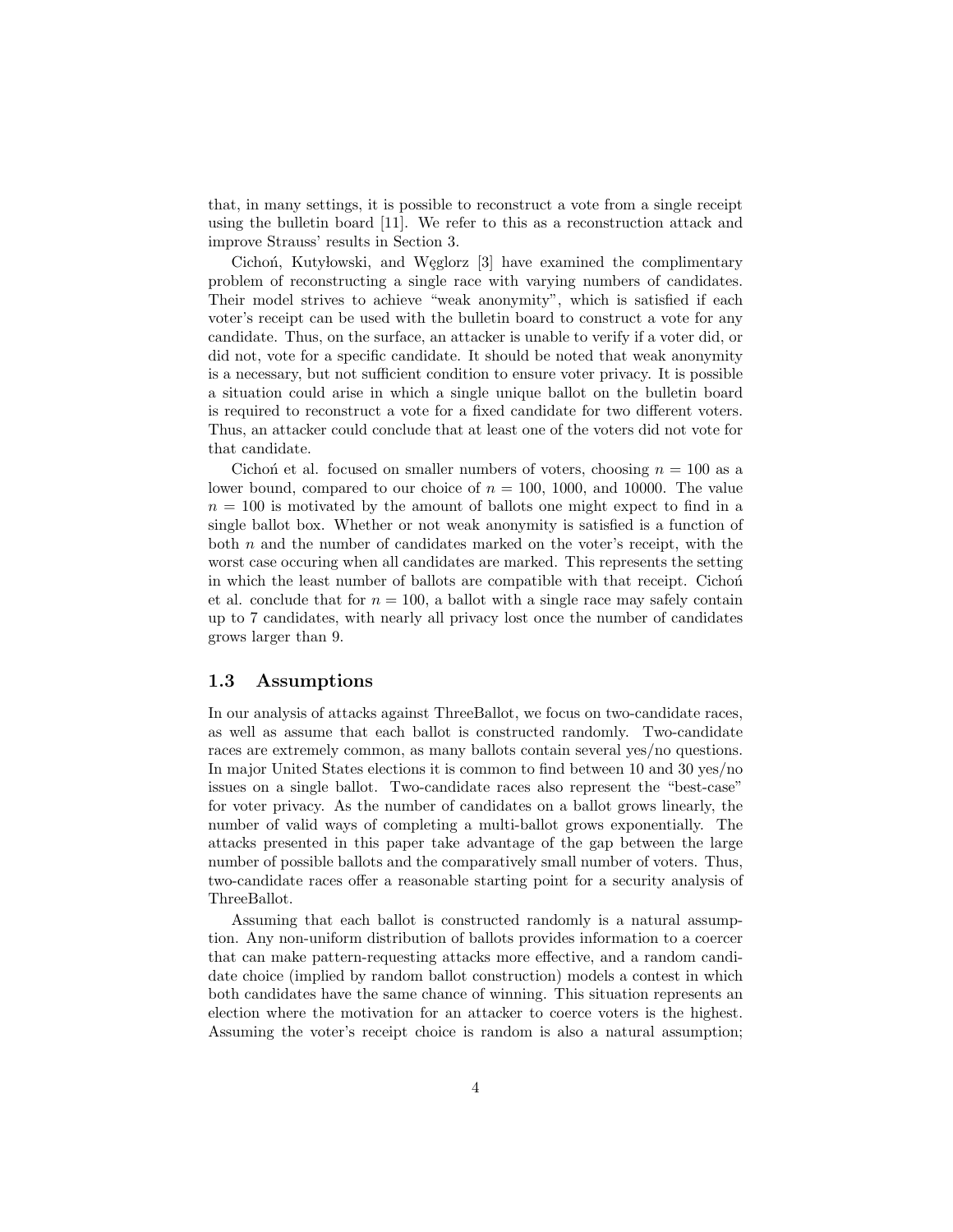that, in many settings, it is possible to reconstruct a vote from a single receipt using the bulletin board [11]. We refer to this as a reconstruction attack and improve Strauss' results in Section 3.

Cichon, Kutylowski, and Węglorz [3] have examined the complimentary problem of reconstructing a single race with varying numbers of candidates. Their model strives to achieve "weak anonymity", which is satisfied if each voter's receipt can be used with the bulletin board to construct a vote for any candidate. Thus, on the surface, an attacker is unable to verify if a voter did, or did not, vote for a specific candidate. It should be noted that weak anonymity is a necessary, but not sufficient condition to ensure voter privacy. It is possible a situation could arise in which a single unique ballot on the bulletin board is required to reconstruct a vote for a fixed candidate for two different voters. Thus, an attacker could conclude that at least one of the voters did not vote for that candidate.

Cichon et al. focused on smaller numbers of voters, choosing  $n = 100$  as a lower bound, compared to our choice of  $n = 100, 1000,$  and 10000. The value  $n = 100$  is motivated by the amount of ballots one might expect to find in a single ballot box. Whether or not weak anonymity is satisfied is a function of both  $n$  and the number of candidates marked on the voter's receipt, with the worst case occuring when all candidates are marked. This represents the setting in which the least number of ballots are compatible with that receipt. Cichon et al. conclude that for  $n = 100$ , a ballot with a single race may safely contain up to 7 candidates, with nearly all privacy lost once the number of candidates grows larger than 9.

#### 1.3 Assumptions

In our analysis of attacks against ThreeBallot, we focus on two-candidate races, as well as assume that each ballot is constructed randomly. Two-candidate races are extremely common, as many ballots contain several yes/no questions. In major United States elections it is common to find between 10 and 30 yes/no issues on a single ballot. Two-candidate races also represent the "best-case" for voter privacy. As the number of candidates on a ballot grows linearly, the number of valid ways of completing a multi-ballot grows exponentially. The attacks presented in this paper take advantage of the gap between the large number of possible ballots and the comparatively small number of voters. Thus, two-candidate races offer a reasonable starting point for a security analysis of ThreeBallot.

Assuming that each ballot is constructed randomly is a natural assumption. Any non-uniform distribution of ballots provides information to a coercer that can make pattern-requesting attacks more effective, and a random candidate choice (implied by random ballot construction) models a contest in which both candidates have the same chance of winning. This situation represents an election where the motivation for an attacker to coerce voters is the highest. Assuming the voter's receipt choice is random is also a natural assumption;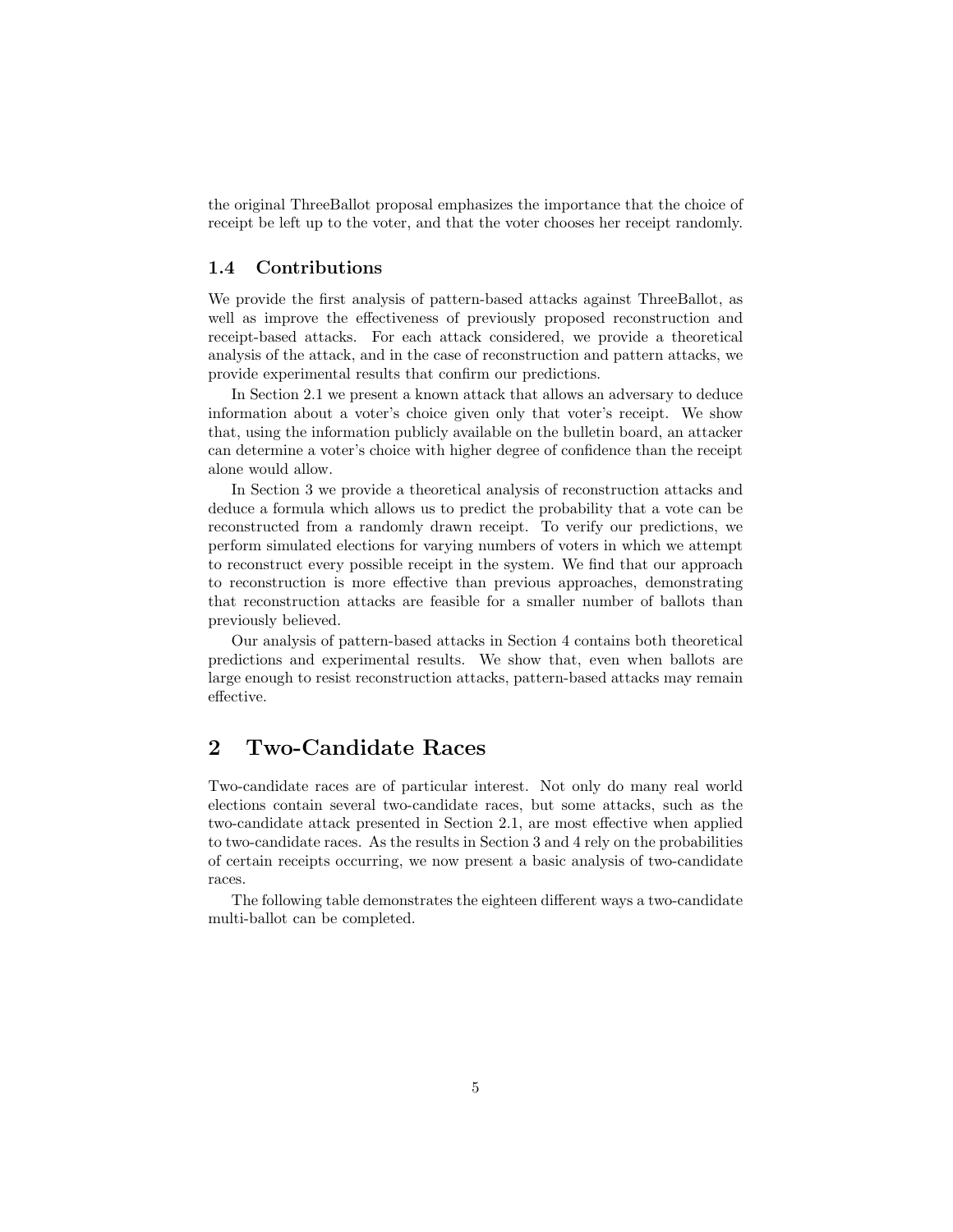the original ThreeBallot proposal emphasizes the importance that the choice of receipt be left up to the voter, and that the voter chooses her receipt randomly.

### 1.4 Contributions

We provide the first analysis of pattern-based attacks against ThreeBallot, as well as improve the effectiveness of previously proposed reconstruction and receipt-based attacks. For each attack considered, we provide a theoretical analysis of the attack, and in the case of reconstruction and pattern attacks, we provide experimental results that confirm our predictions.

In Section 2.1 we present a known attack that allows an adversary to deduce information about a voter's choice given only that voter's receipt. We show that, using the information publicly available on the bulletin board, an attacker can determine a voter's choice with higher degree of confidence than the receipt alone would allow.

In Section 3 we provide a theoretical analysis of reconstruction attacks and deduce a formula which allows us to predict the probability that a vote can be reconstructed from a randomly drawn receipt. To verify our predictions, we perform simulated elections for varying numbers of voters in which we attempt to reconstruct every possible receipt in the system. We find that our approach to reconstruction is more effective than previous approaches, demonstrating that reconstruction attacks are feasible for a smaller number of ballots than previously believed.

Our analysis of pattern-based attacks in Section 4 contains both theoretical predictions and experimental results. We show that, even when ballots are large enough to resist reconstruction attacks, pattern-based attacks may remain effective.

# 2 Two-Candidate Races

Two-candidate races are of particular interest. Not only do many real world elections contain several two-candidate races, but some attacks, such as the two-candidate attack presented in Section 2.1, are most effective when applied to two-candidate races. As the results in Section 3 and 4 rely on the probabilities of certain receipts occurring, we now present a basic analysis of two-candidate races.

The following table demonstrates the eighteen different ways a two-candidate multi-ballot can be completed.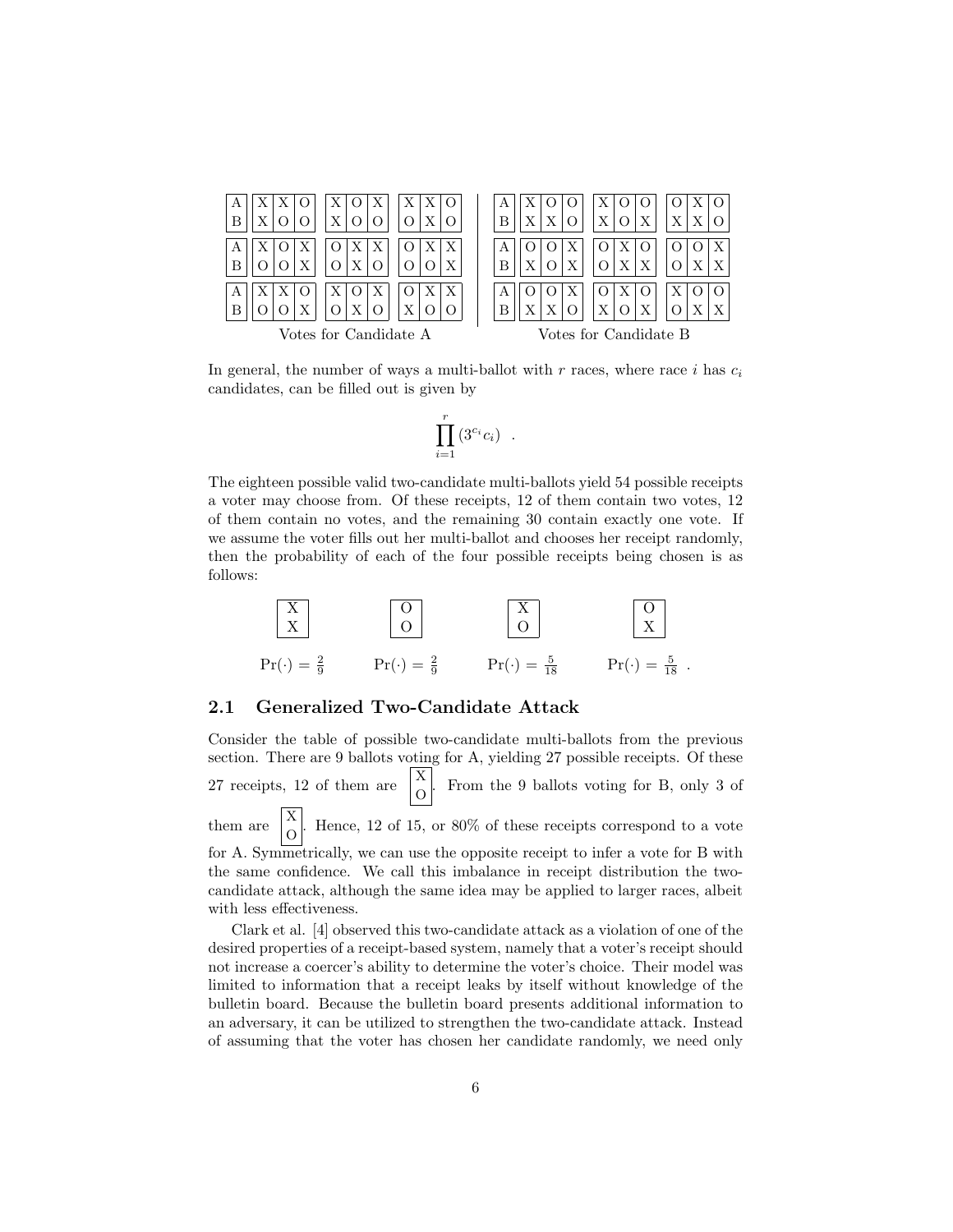| Β                                         | A<br>Х<br>B                          |
|-------------------------------------------|--------------------------------------|
| А<br>Β                                    | Χ<br>B                               |
| Х<br>А<br>В<br>Х<br>Votes for Candidate A | Х<br>Х<br>B<br>Votes for Candidate B |

In general, the number of ways a multi-ballot with r races, where race i has  $c_i$ candidates, can be filled out is given by

$$
\prod_{i=1}^r \left( 3^{c_i} c_i \right) .
$$

The eighteen possible valid two-candidate multi-ballots yield 54 possible receipts a voter may choose from. Of these receipts, 12 of them contain two votes, 12 of them contain no votes, and the remaining 30 contain exactly one vote. If we assume the voter fills out her multi-ballot and chooses her receipt randomly, then the probability of each of the four possible receipts being chosen is as follows:



#### 2.1 Generalized Two-Candidate Attack

Consider the table of possible two-candidate multi-ballots from the previous section. There are 9 ballots voting for A, yielding 27 possible receipts. Of these 27 receipts, 12 of them are  $\begin{bmatrix} X \\ O \end{bmatrix}$ . From the 9 ballots voting for B, only 3 of them are  $\begin{bmatrix} X \\ 0 \end{bmatrix}$ . Hence, 12 of 15, or 80% of these receipts correspond to a vote for A. Symmetrically, we can use the opposite receipt to infer a vote for B with the same confidence. We call this imbalance in receipt distribution the twocandidate attack, although the same idea may be applied to larger races, albeit with less effectiveness.

Clark et al. [4] observed this two-candidate attack as a violation of one of the desired properties of a receipt-based system, namely that a voter's receipt should not increase a coercer's ability to determine the voter's choice. Their model was limited to information that a receipt leaks by itself without knowledge of the bulletin board. Because the bulletin board presents additional information to an adversary, it can be utilized to strengthen the two-candidate attack. Instead of assuming that the voter has chosen her candidate randomly, we need only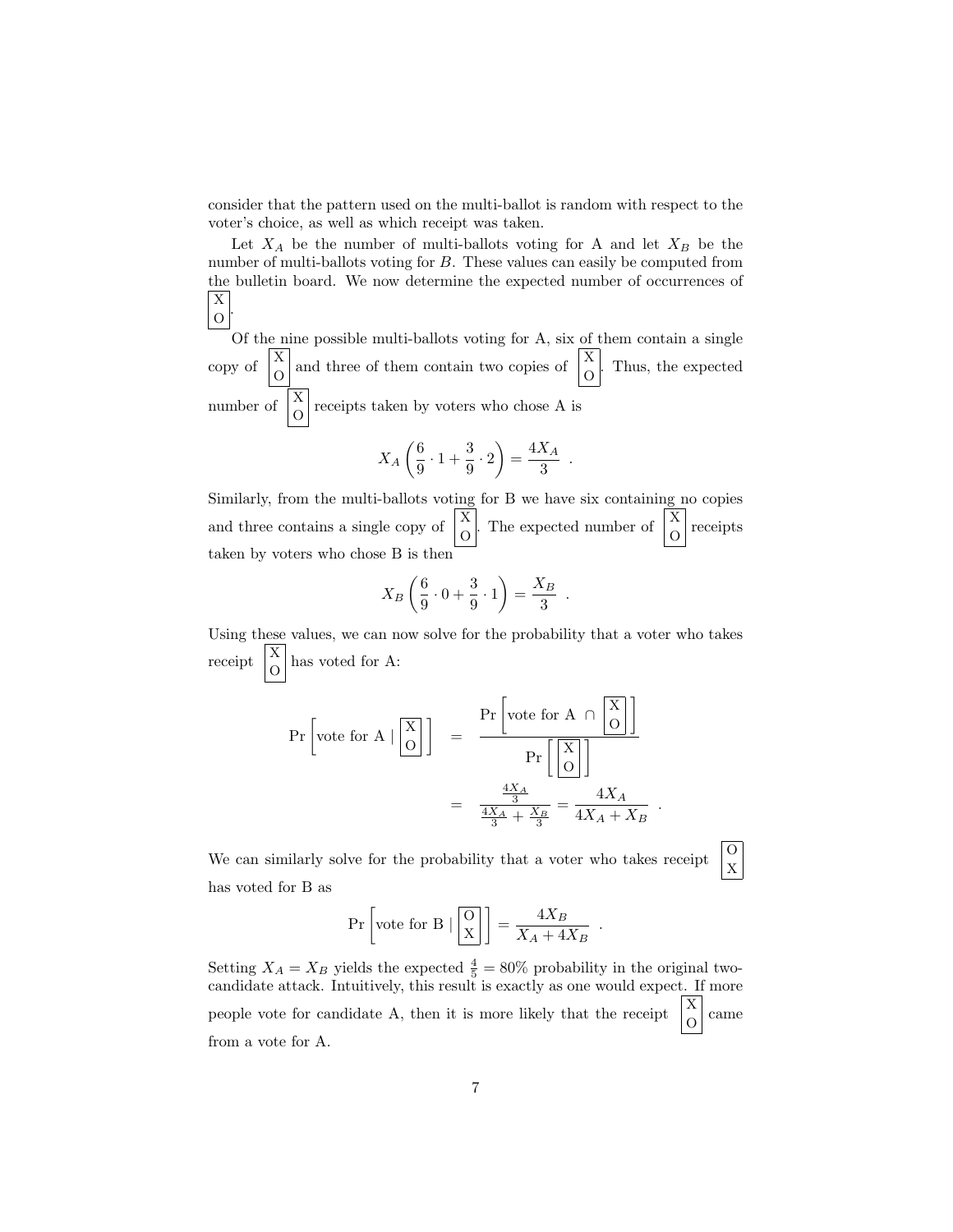consider that the pattern used on the multi-ballot is random with respect to the voter's choice, as well as which receipt was taken.

Let  $X_A$  be the number of multi-ballots voting for A and let  $X_B$  be the number of multi-ballots voting for B. These values can easily be computed from the bulletin board. We now determine the expected number of occurrences of  $\vert$  X  $|0|$ .

Of the nine possible multi-ballots voting for A, six of them contain a single copy of  $\begin{bmatrix} X \\ O \end{bmatrix}$  and three of them contain two copies of  $\begin{bmatrix} X \\ O \end{bmatrix}$ . Thus, the expected number of  $\begin{bmatrix} X \\ O \end{bmatrix}$  receipts taken by voters who chose A is

$$
X_A\left(\frac{6}{9}\cdot 1+\frac{3}{9}\cdot 2\right)=\frac{4X_A}{3}
$$

.

.

.

X

Similarly, from the multi-ballots voting for B we have six containing no copies and three contains a single copy of  $\begin{bmatrix} X \\ O \end{bmatrix}$ . The expected number of  $\begin{bmatrix} X \\ O \end{bmatrix}$  receipts taken by voters who chose B is then

$$
X_B\left(\frac{6}{9}\cdot 0 + \frac{3}{9}\cdot 1\right) = \frac{X_B}{3}
$$

Using these values, we can now solve for the probability that a voter who takes receipt  $\begin{bmatrix} X \\ O \end{bmatrix}$  has voted for A:

$$
\Pr\left[\text{vote for A} \mid \boxed{\frac{\text{X}}{\text{O}}}\right] = \frac{\Pr\left[\text{vote for A} \cap \boxed{\frac{\text{X}}{\text{O}}}\right]}{\Pr\left[\boxed{\frac{\text{X}}{\text{O}}}\right]}
$$

$$
= \frac{\frac{4X_A}{3}}{\frac{4X_A}{3} + \frac{X_B}{3}} = \frac{4X_A}{4X_A + X_B}
$$

We can similarly solve for the probability that a voter who takes receipt  $\begin{bmatrix} 0 \\ v \end{bmatrix}$ has voted for B as

$$
\Pr\left[\text{vote for B} \mid \boxed{\text{X}}\right] = \frac{4X_B}{X_A + 4X_B} \enspace .
$$

Setting  $X_A = X_B$  yields the expected  $\frac{4}{5} = 80\%$  probability in the original twocandidate attack. Intuitively, this result is exactly as one would expect. If more  $\,$  people vote for candidate A, then it is more likely that the receipt O came from a vote for A.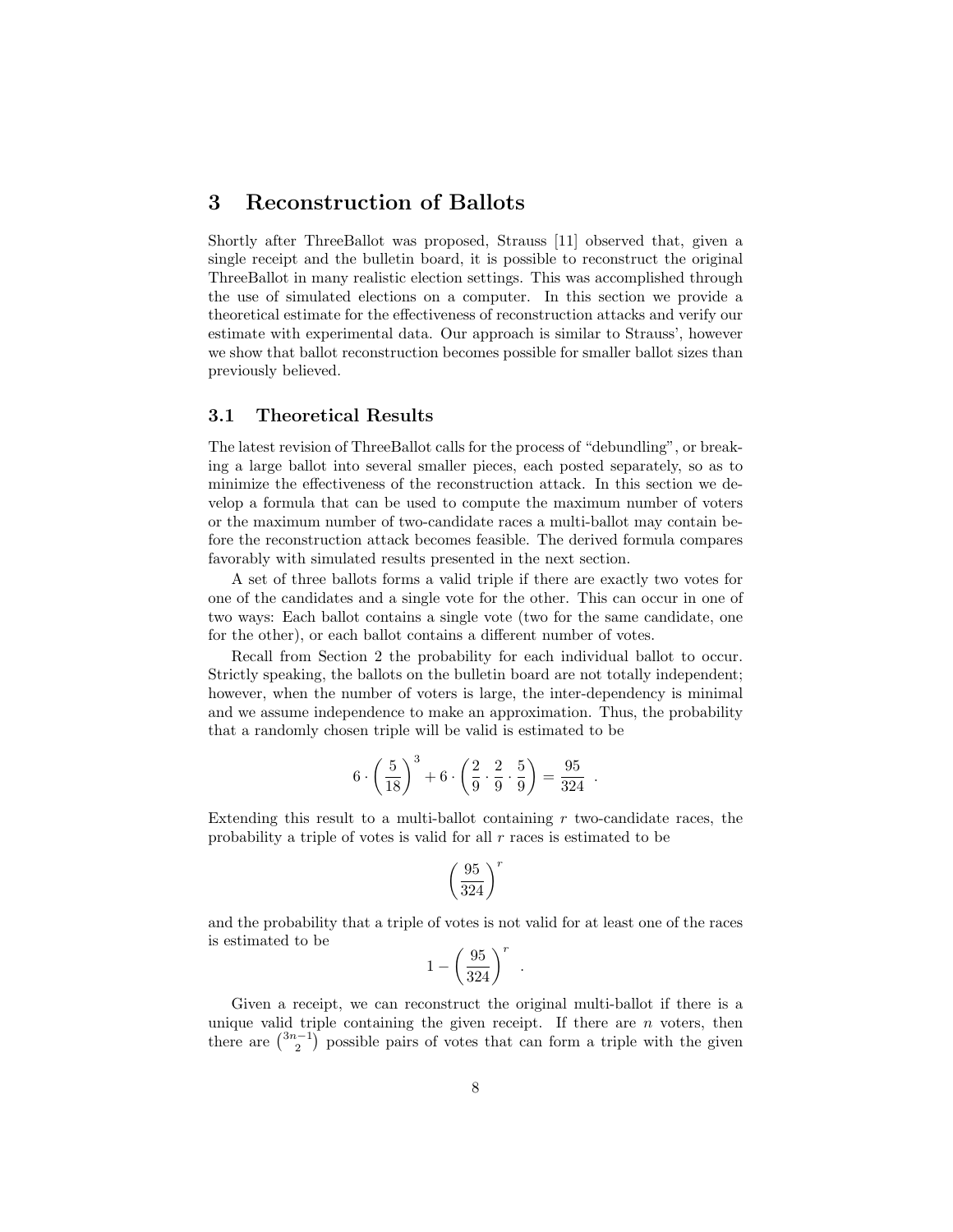### 3 Reconstruction of Ballots

Shortly after ThreeBallot was proposed, Strauss [11] observed that, given a single receipt and the bulletin board, it is possible to reconstruct the original ThreeBallot in many realistic election settings. This was accomplished through the use of simulated elections on a computer. In this section we provide a theoretical estimate for the effectiveness of reconstruction attacks and verify our estimate with experimental data. Our approach is similar to Strauss', however we show that ballot reconstruction becomes possible for smaller ballot sizes than previously believed.

### 3.1 Theoretical Results

The latest revision of ThreeBallot calls for the process of "debundling", or breaking a large ballot into several smaller pieces, each posted separately, so as to minimize the effectiveness of the reconstruction attack. In this section we develop a formula that can be used to compute the maximum number of voters or the maximum number of two-candidate races a multi-ballot may contain before the reconstruction attack becomes feasible. The derived formula compares favorably with simulated results presented in the next section.

A set of three ballots forms a valid triple if there are exactly two votes for one of the candidates and a single vote for the other. This can occur in one of two ways: Each ballot contains a single vote (two for the same candidate, one for the other), or each ballot contains a different number of votes.

Recall from Section 2 the probability for each individual ballot to occur. Strictly speaking, the ballots on the bulletin board are not totally independent; however, when the number of voters is large, the inter-dependency is minimal and we assume independence to make an approximation. Thus, the probability that a randomly chosen triple will be valid is estimated to be

$$
6 \cdot \left(\frac{5}{18}\right)^3 + 6 \cdot \left(\frac{2}{9} \cdot \frac{2}{9} \cdot \frac{5}{9}\right) = \frac{95}{324} .
$$

Extending this result to a multi-ballot containing  $r$  two-candidate races, the probability a triple of votes is valid for all  $r$  races is estimated to be

$$
\left(\frac{95}{324}\right)^r
$$

and the probability that a triple of votes is not valid for at least one of the races is estimated to be

$$
1-\left(\frac{95}{324}\right)^r\enspace.
$$

Given a receipt, we can reconstruct the original multi-ballot if there is a unique valid triple containing the given receipt. If there are  $n$  voters, then there are  $\binom{3n-1}{2}$  possible pairs of votes that can form a triple with the given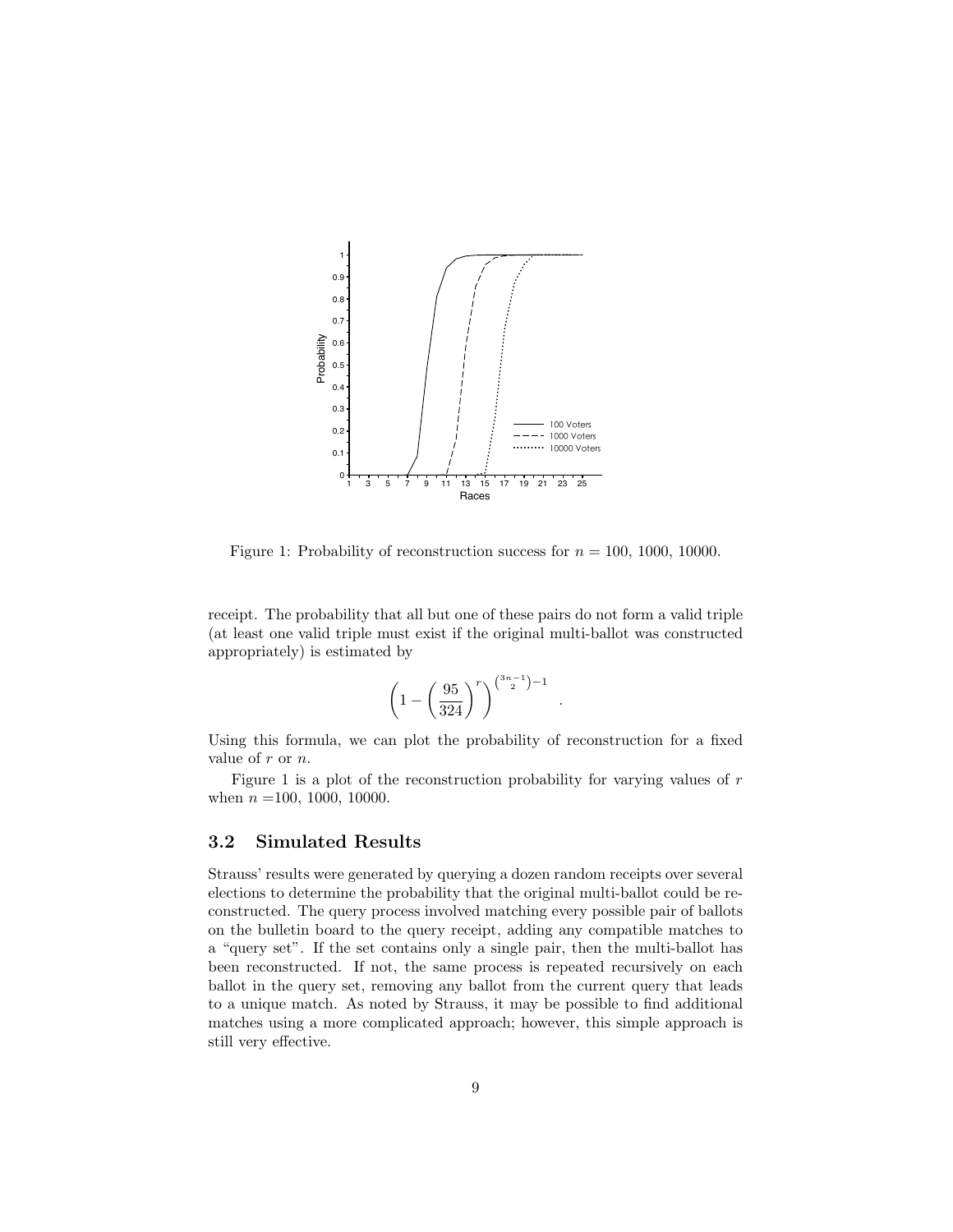

Figure 1: Probability of reconstruction success for  $n = 100, 1000, 10000$ .

receipt. The probability that all but one of these pairs do not form a valid triple (at least one valid triple must exist if the original multi-ballot was constructed appropriately) is estimated by

$$
\left(1 - \left(\frac{95}{324}\right)^r\right)^{\binom{3n-1}{2}-1}
$$

.

Using this formula, we can plot the probability of reconstruction for a fixed value of r or n.

Figure 1 is a plot of the reconstruction probability for varying values of  $r$ when  $n = 100, 1000, 10000$ .

### 3.2 Simulated Results

Strauss' results were generated by querying a dozen random receipts over several elections to determine the probability that the original multi-ballot could be reconstructed. The query process involved matching every possible pair of ballots on the bulletin board to the query receipt, adding any compatible matches to a "query set". If the set contains only a single pair, then the multi-ballot has been reconstructed. If not, the same process is repeated recursively on each ballot in the query set, removing any ballot from the current query that leads to a unique match. As noted by Strauss, it may be possible to find additional matches using a more complicated approach; however, this simple approach is still very effective.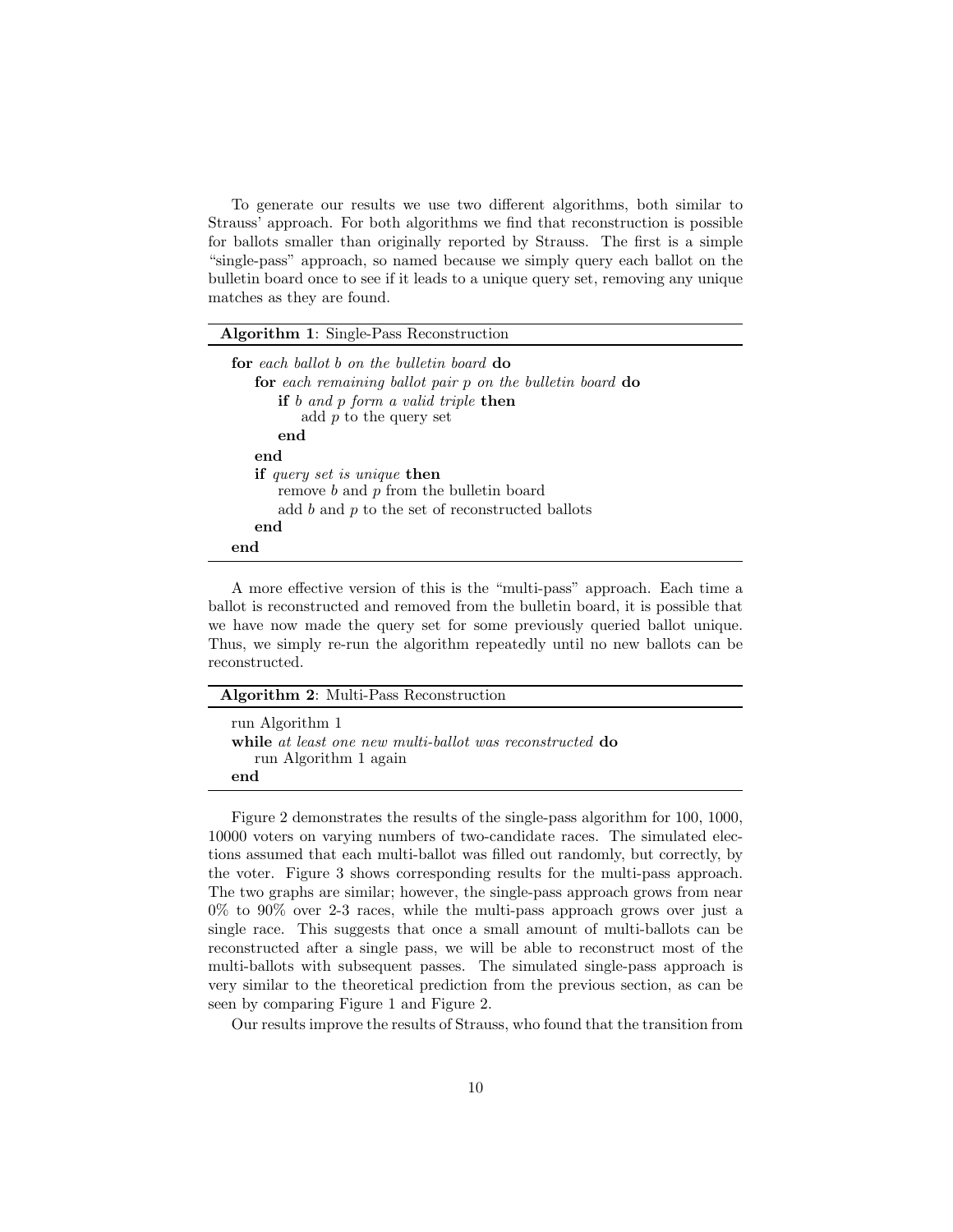To generate our results we use two different algorithms, both similar to Strauss' approach. For both algorithms we find that reconstruction is possible for ballots smaller than originally reported by Strauss. The first is a simple "single-pass" approach, so named because we simply query each ballot on the bulletin board once to see if it leads to a unique query set, removing any unique matches as they are found.

| <b>Algorithm 1:</b> Single-Pass Reconstruction                                                                                                                             |  |  |
|----------------------------------------------------------------------------------------------------------------------------------------------------------------------------|--|--|
| for each ballot b on the bulletin board do<br>for each remaining ballot pair p on the bulletin board do<br>if b and p form a valid triple then<br>add $p$ to the query set |  |  |
| end                                                                                                                                                                        |  |  |
| end                                                                                                                                                                        |  |  |
| <b>if</b> query set is unique <b>then</b><br>remove b and p from the bulletin board<br>add $b$ and $p$ to the set of reconstructed ballots<br>end                          |  |  |
| end                                                                                                                                                                        |  |  |

A more effective version of this is the "multi-pass" approach. Each time a ballot is reconstructed and removed from the bulletin board, it is possible that we have now made the query set for some previously queried ballot unique. Thus, we simply re-run the algorithm repeatedly until no new ballots can be reconstructed.

| <b>Algorithm 2:</b> Multi-Pass Reconstruction                                                        |  |
|------------------------------------------------------------------------------------------------------|--|
| run Algorithm 1<br>while at least one new multi-ballot was reconstructed do<br>run Algorithm 1 again |  |
| end                                                                                                  |  |

Figure 2 demonstrates the results of the single-pass algorithm for 100, 1000, 10000 voters on varying numbers of two-candidate races. The simulated elections assumed that each multi-ballot was filled out randomly, but correctly, by the voter. Figure 3 shows corresponding results for the multi-pass approach. The two graphs are similar; however, the single-pass approach grows from near  $0\%$  to  $90\%$  over 2-3 races, while the multi-pass approach grows over just a single race. This suggests that once a small amount of multi-ballots can be reconstructed after a single pass, we will be able to reconstruct most of the multi-ballots with subsequent passes. The simulated single-pass approach is very similar to the theoretical prediction from the previous section, as can be seen by comparing Figure 1 and Figure 2.

Our results improve the results of Strauss, who found that the transition from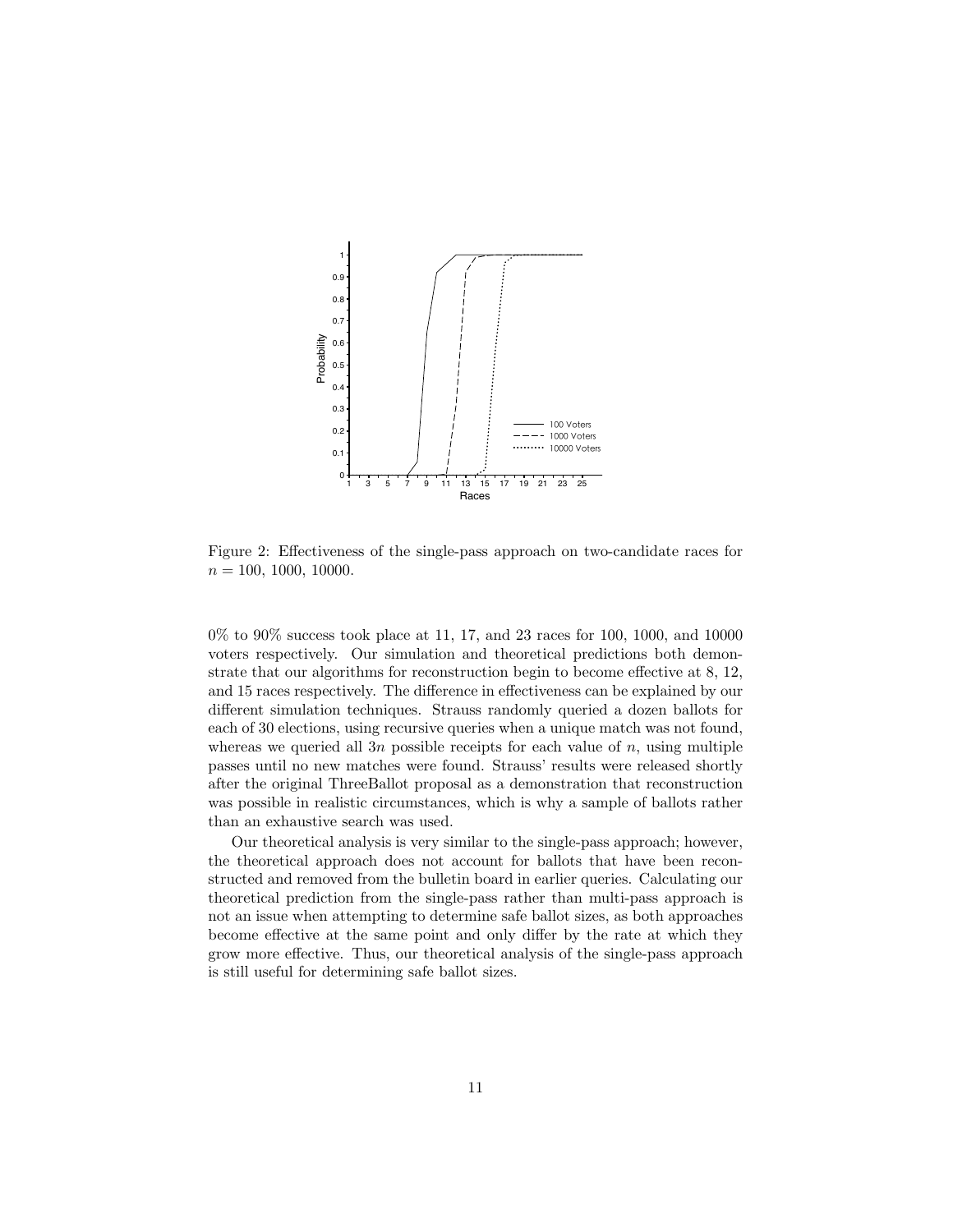

Figure 2: Effectiveness of the single-pass approach on two-candidate races for  $n = 100, 1000, 10000$ .

0% to 90% success took place at 11, 17, and 23 races for 100, 1000, and 10000 voters respectively. Our simulation and theoretical predictions both demonstrate that our algorithms for reconstruction begin to become effective at 8, 12, and 15 races respectively. The difference in effectiveness can be explained by our different simulation techniques. Strauss randomly queried a dozen ballots for each of 30 elections, using recursive queries when a unique match was not found, whereas we queried all 3n possible receipts for each value of  $n$ , using multiple passes until no new matches were found. Strauss' results were released shortly after the original ThreeBallot proposal as a demonstration that reconstruction was possible in realistic circumstances, which is why a sample of ballots rather than an exhaustive search was used.

Our theoretical analysis is very similar to the single-pass approach; however, the theoretical approach does not account for ballots that have been reconstructed and removed from the bulletin board in earlier queries. Calculating our theoretical prediction from the single-pass rather than multi-pass approach is not an issue when attempting to determine safe ballot sizes, as both approaches become effective at the same point and only differ by the rate at which they grow more effective. Thus, our theoretical analysis of the single-pass approach is still useful for determining safe ballot sizes.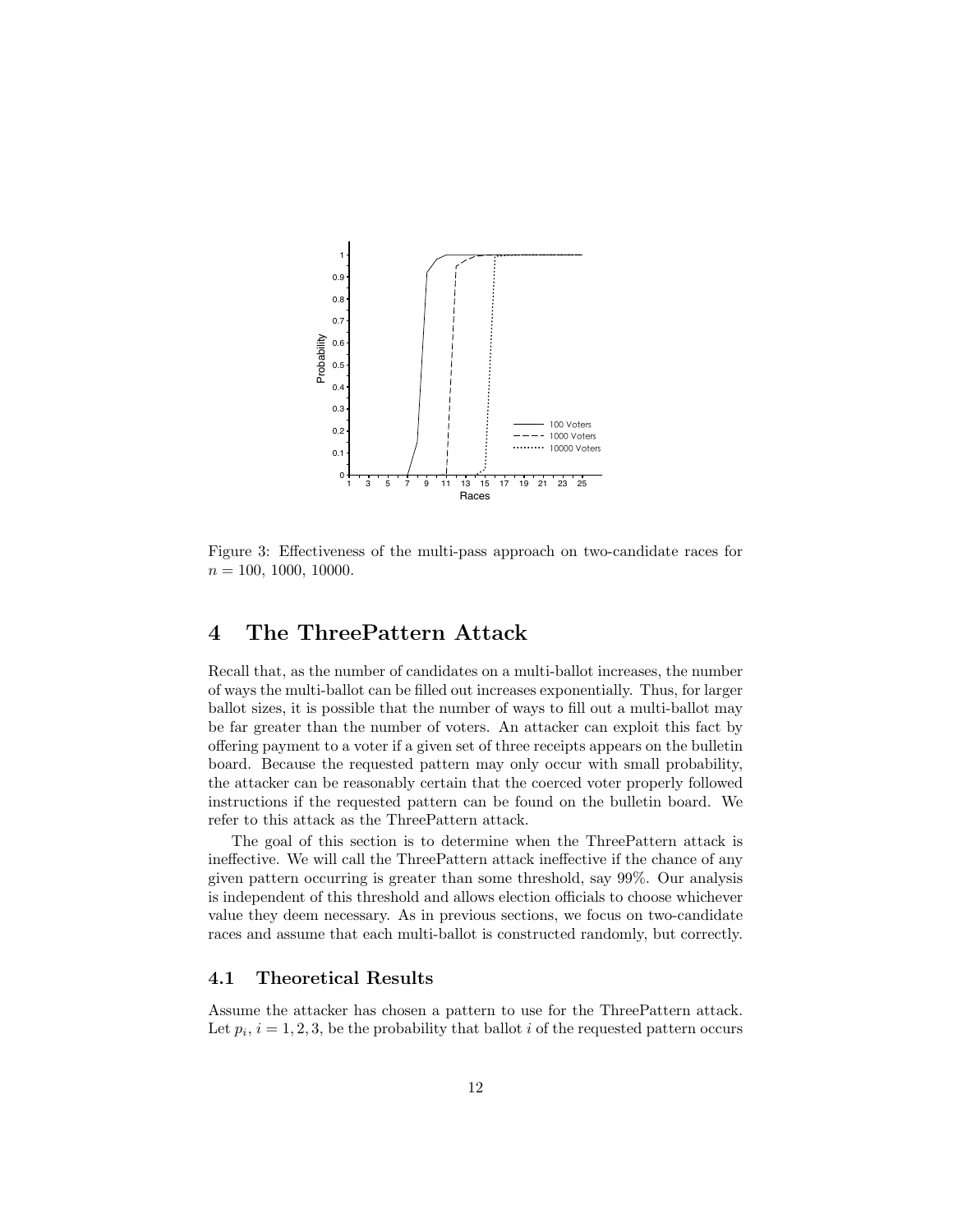

Figure 3: Effectiveness of the multi-pass approach on two-candidate races for  $n = 100, 1000, 10000$ .

# 4 The ThreePattern Attack

Recall that, as the number of candidates on a multi-ballot increases, the number of ways the multi-ballot can be filled out increases exponentially. Thus, for larger ballot sizes, it is possible that the number of ways to fill out a multi-ballot may be far greater than the number of voters. An attacker can exploit this fact by offering payment to a voter if a given set of three receipts appears on the bulletin board. Because the requested pattern may only occur with small probability, the attacker can be reasonably certain that the coerced voter properly followed instructions if the requested pattern can be found on the bulletin board. We refer to this attack as the ThreePattern attack.

The goal of this section is to determine when the ThreePattern attack is ineffective. We will call the ThreePattern attack ineffective if the chance of any given pattern occurring is greater than some threshold, say 99%. Our analysis is independent of this threshold and allows election officials to choose whichever value they deem necessary. As in previous sections, we focus on two-candidate races and assume that each multi-ballot is constructed randomly, but correctly.

### 4.1 Theoretical Results

Assume the attacker has chosen a pattern to use for the ThreePattern attack. Let  $p_i$ ,  $i = 1, 2, 3$ , be the probability that ballot i of the requested pattern occurs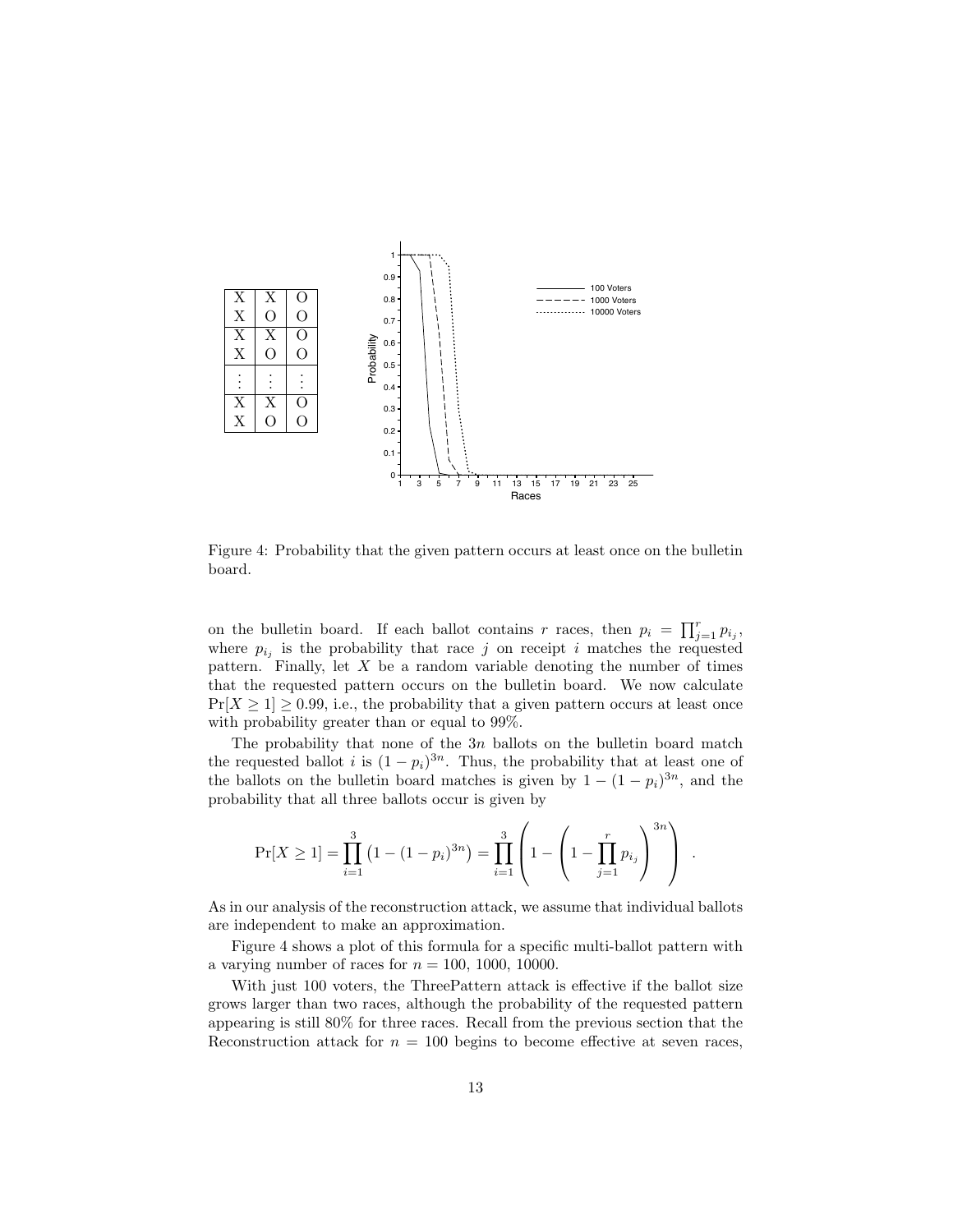

Figure 4: Probability that the given pattern occurs at least once on the bulletin board.

on the bulletin board. If each ballot contains r races, then  $p_i = \prod_{j=1}^r p_{i_j}$ , where  $p_{i_j}$  is the probability that race j on receipt i matches the requested pattern. Finally, let  $X$  be a random variable denoting the number of times that the requested pattern occurs on the bulletin board. We now calculate  $Pr[X \ge 1] \ge 0.99$ , i.e., the probability that a given pattern occurs at least once with probability greater than or equal to 99%.

The probability that none of the  $3n$  ballots on the bulletin board match the requested ballot i is  $(1 - p_i)^{3n}$ . Thus, the probability that at least one of the ballots on the bulletin board matches is given by  $1 - (1 - p_i)^{3n}$ , and the probability that all three ballots occur is given by

$$
Pr[X \ge 1] = \prod_{i=1}^{3} (1 - (1 - p_i)^{3n}) = \prod_{i=1}^{3} \left( 1 - \left( 1 - \prod_{j=1}^{r} p_{i_j} \right)^{3n} \right) .
$$

As in our analysis of the reconstruction attack, we assume that individual ballots are independent to make an approximation.

Figure 4 shows a plot of this formula for a specific multi-ballot pattern with a varying number of races for  $n = 100, 1000, 10000$ .

With just 100 voters, the ThreePattern attack is effective if the ballot size grows larger than two races, although the probability of the requested pattern appearing is still 80% for three races. Recall from the previous section that the Reconstruction attack for  $n = 100$  begins to become effective at seven races,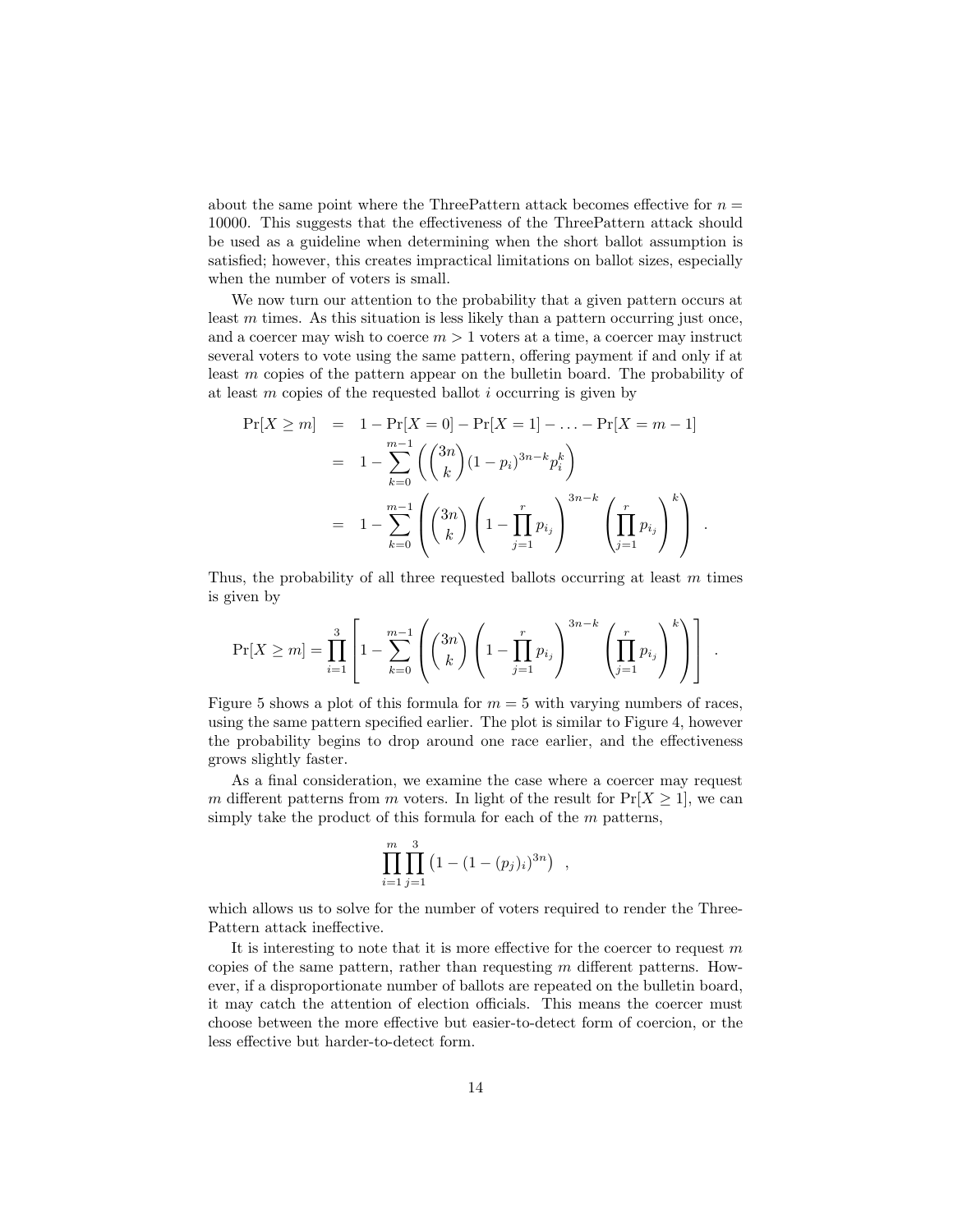about the same point where the ThreePattern attack becomes effective for  $n =$ 10000. This suggests that the effectiveness of the ThreePattern attack should be used as a guideline when determining when the short ballot assumption is satisfied; however, this creates impractical limitations on ballot sizes, especially when the number of voters is small.

We now turn our attention to the probability that a given pattern occurs at least  $m$  times. As this situation is less likely than a pattern occurring just once, and a coercer may wish to coerce  $m > 1$  voters at a time, a coercer may instruct several voters to vote using the same pattern, offering payment if and only if at least m copies of the pattern appear on the bulletin board. The probability of at least  $m$  copies of the requested ballot  $i$  occurring is given by

$$
\Pr[X \ge m] = 1 - \Pr[X = 0] - \Pr[X = 1] - \dots - \Pr[X = m - 1]
$$
  
=  $1 - \sum_{k=0}^{m-1} \left( \binom{3n}{k} (1 - p_i)^{3n-k} p_i^k \right)$   
=  $1 - \sum_{k=0}^{m-1} \left( \binom{3n}{k} \left( 1 - \prod_{j=1}^r p_{i_j} \right)^{3n-k} \left( \prod_{j=1}^r p_{i_j} \right)^k \right)$ .

Thus, the probability of all three requested ballots occurring at least  $m$  times is given by

$$
\Pr[X \ge m] = \prod_{i=1}^{3} \left[ 1 - \sum_{k=0}^{m-1} \left( {3n \choose k} \left( 1 - \prod_{j=1}^{r} p_{i_j} \right)^{3n-k} \left( \prod_{j=1}^{r} p_{i_j} \right)^k \right) \right] .
$$

Figure 5 shows a plot of this formula for  $m = 5$  with varying numbers of races, using the same pattern specified earlier. The plot is similar to Figure 4, however the probability begins to drop around one race earlier, and the effectiveness grows slightly faster.

As a final consideration, we examine the case where a coercer may request m different patterns from m voters. In light of the result for  $Pr[X \geq 1]$ , we can simply take the product of this formula for each of the  $m$  patterns,

$$
\prod_{i=1}^{m} \prod_{j=1}^{3} (1 - (1 - (p_j)_i)^{3n}) ,
$$

which allows us to solve for the number of voters required to render the Three-Pattern attack ineffective.

It is interesting to note that it is more effective for the coercer to request  $m$ copies of the same pattern, rather than requesting  $m$  different patterns. However, if a disproportionate number of ballots are repeated on the bulletin board, it may catch the attention of election officials. This means the coercer must choose between the more effective but easier-to-detect form of coercion, or the less effective but harder-to-detect form.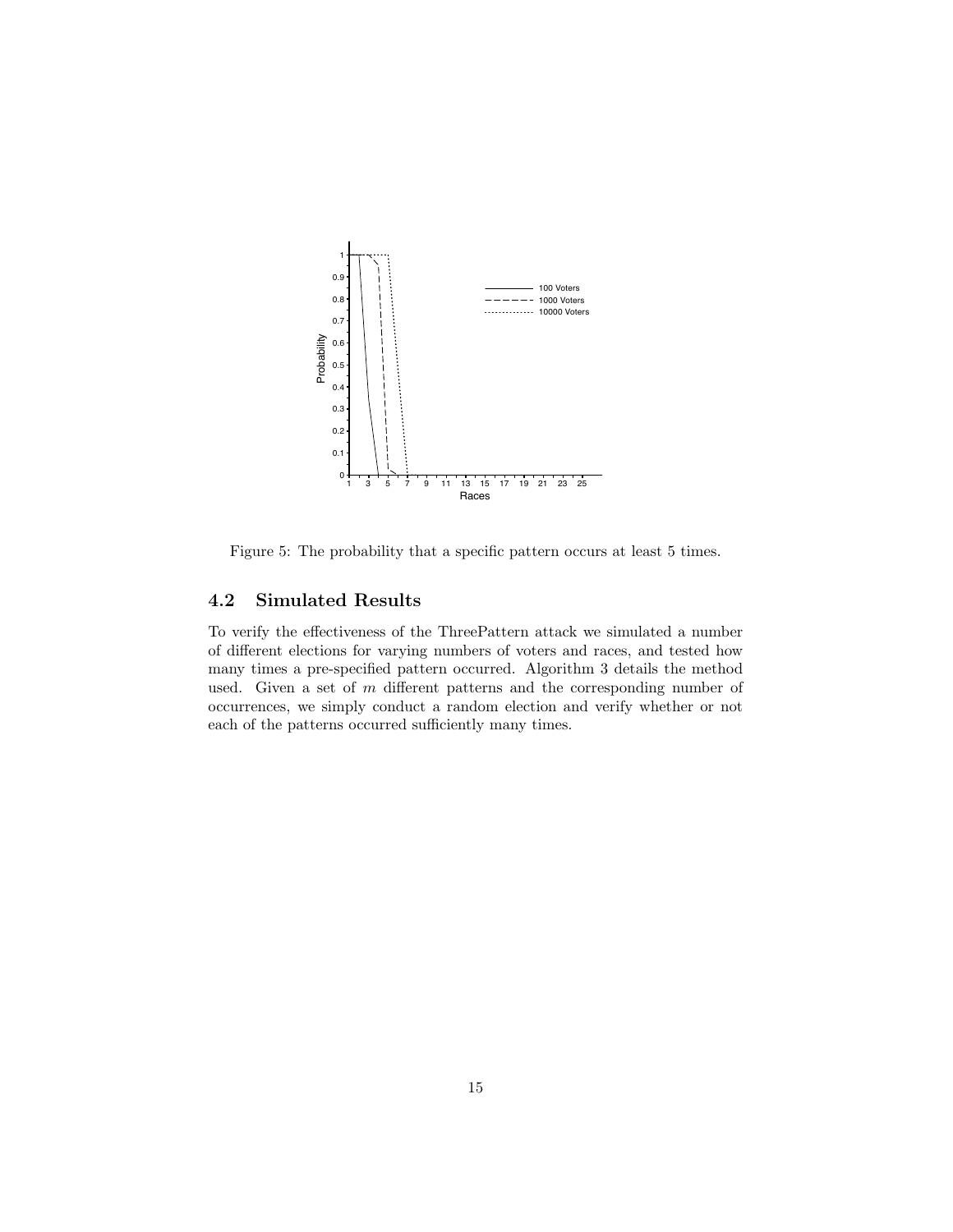

Figure 5: The probability that a specific pattern occurs at least 5 times.

### 4.2 Simulated Results

To verify the effectiveness of the ThreePattern attack we simulated a number of different elections for varying numbers of voters and races, and tested how many times a pre-specified pattern occurred. Algorithm 3 details the method used. Given a set of  $m$  different patterns and the corresponding number of occurrences, we simply conduct a random election and verify whether or not each of the patterns occurred sufficiently many times.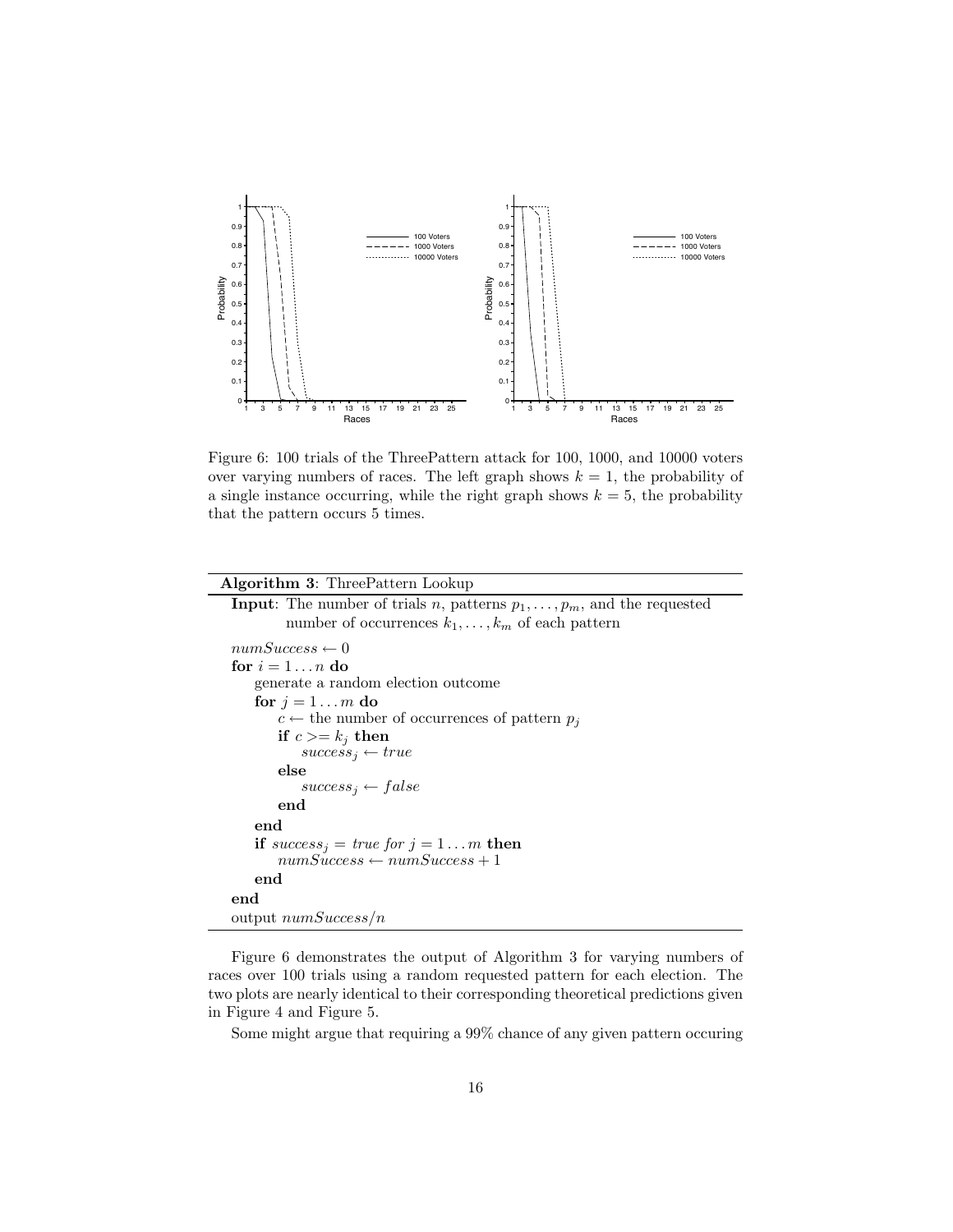

Figure 6: 100 trials of the ThreePattern attack for 100, 1000, and 10000 voters over varying numbers of races. The left graph shows  $k = 1$ , the probability of a single instance occurring, while the right graph shows  $k = 5$ , the probability that the pattern occurs 5 times.

Figure 6 demonstrates the output of Algorithm 3 for varying numbers of races over 100 trials using a random requested pattern for each election. The two plots are nearly identical to their corresponding theoretical predictions given in Figure 4 and Figure 5.

Some might argue that requiring a 99% chance of any given pattern occuring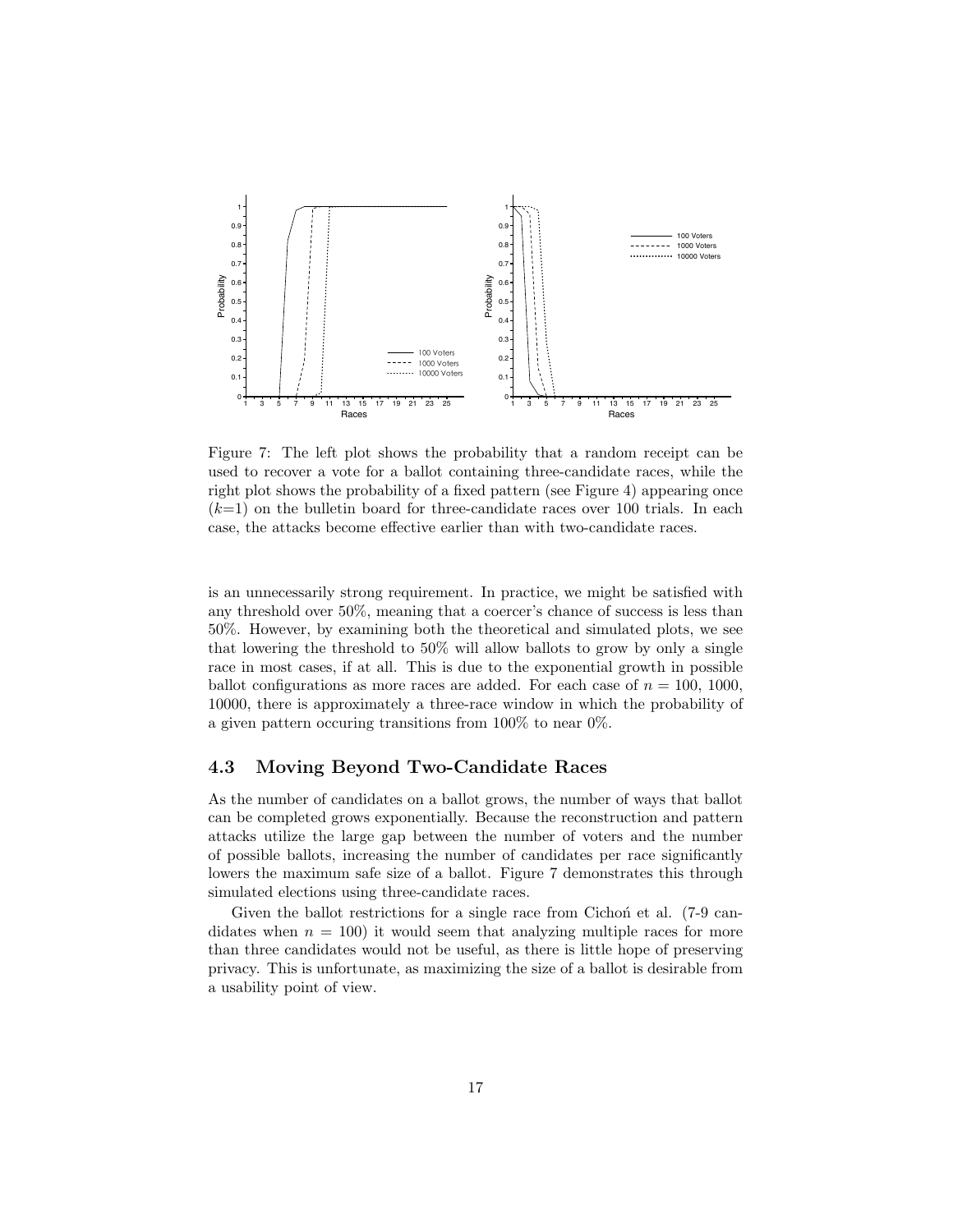

Figure 7: The left plot shows the probability that a random receipt can be used to recover a vote for a ballot containing three-candidate races, while the right plot shows the probability of a fixed pattern (see Figure 4) appearing once  $(k=1)$  on the bulletin board for three-candidate races over 100 trials. In each case, the attacks become effective earlier than with two-candidate races.

is an unnecessarily strong requirement. In practice, we might be satisfied with any threshold over 50%, meaning that a coercer's chance of success is less than 50%. However, by examining both the theoretical and simulated plots, we see that lowering the threshold to 50% will allow ballots to grow by only a single race in most cases, if at all. This is due to the exponential growth in possible ballot configurations as more races are added. For each case of  $n = 100, 1000$ , 10000, there is approximately a three-race window in which the probability of a given pattern occuring transitions from 100% to near 0%.

### 4.3 Moving Beyond Two-Candidate Races

As the number of candidates on a ballot grows, the number of ways that ballot can be completed grows exponentially. Because the reconstruction and pattern attacks utilize the large gap between the number of voters and the number of possible ballots, increasing the number of candidates per race significantly lowers the maximum safe size of a ballot. Figure 7 demonstrates this through simulated elections using three-candidate races.

Given the ballot restrictions for a single race from Cichon et al.  $(7-9 \text{ can--})$ didates when  $n = 100$  it would seem that analyzing multiple races for more than three candidates would not be useful, as there is little hope of preserving privacy. This is unfortunate, as maximizing the size of a ballot is desirable from a usability point of view.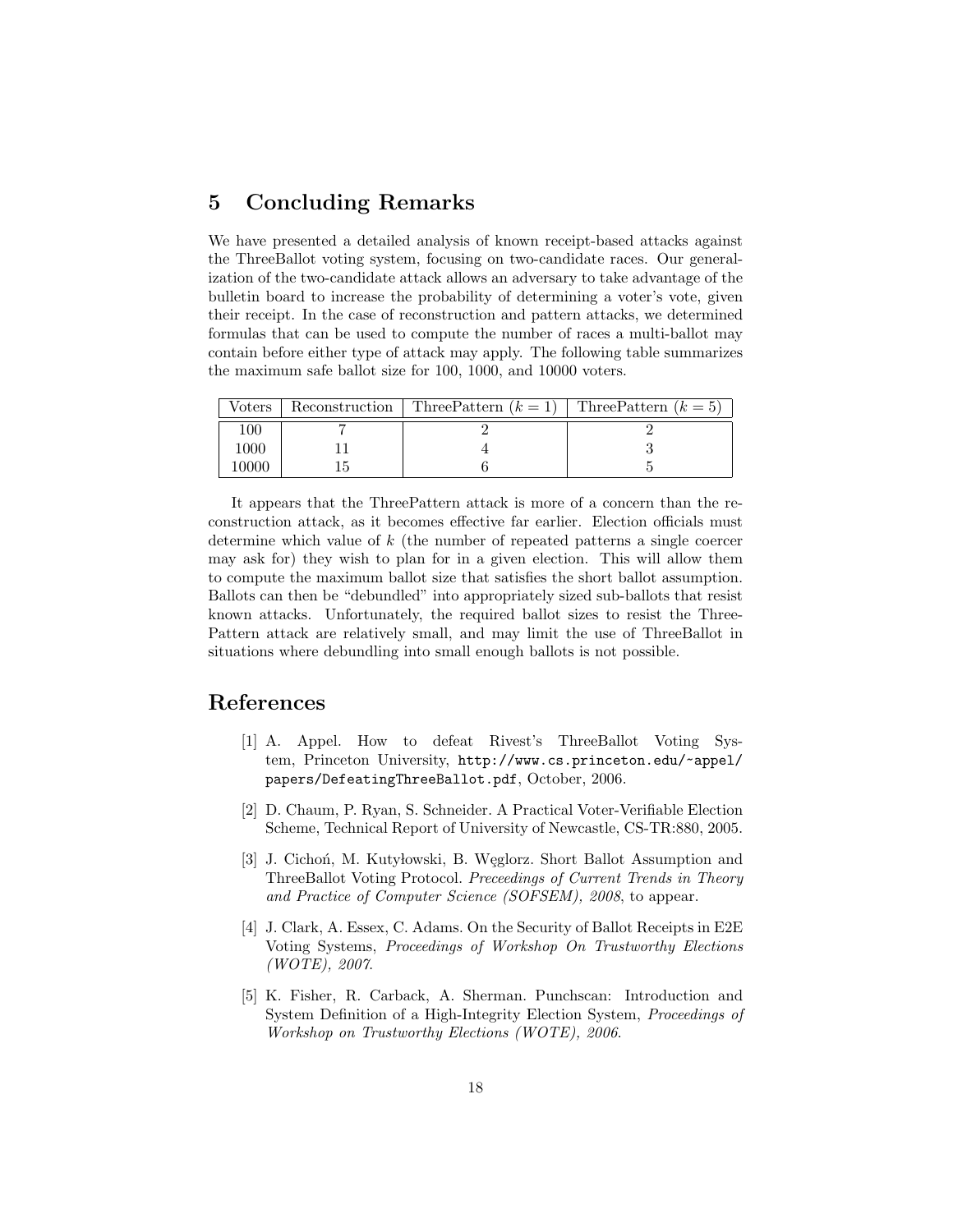## 5 Concluding Remarks

We have presented a detailed analysis of known receipt-based attacks against the ThreeBallot voting system, focusing on two-candidate races. Our generalization of the two-candidate attack allows an adversary to take advantage of the bulletin board to increase the probability of determining a voter's vote, given their receipt. In the case of reconstruction and pattern attacks, we determined formulas that can be used to compute the number of races a multi-ballot may contain before either type of attack may apply. The following table summarizes the maximum safe ballot size for 100, 1000, and 10000 voters.

| Voters | Reconstruction   Three Pattern $(k = 1)$ | Three Pattern $(k=5)$ |
|--------|------------------------------------------|-----------------------|
| LOO    |                                          |                       |
| 000ء   |                                          |                       |
| 0000   |                                          |                       |

It appears that the ThreePattern attack is more of a concern than the reconstruction attack, as it becomes effective far earlier. Election officials must determine which value of k (the number of repeated patterns a single coercer may ask for) they wish to plan for in a given election. This will allow them to compute the maximum ballot size that satisfies the short ballot assumption. Ballots can then be "debundled" into appropriately sized sub-ballots that resist known attacks. Unfortunately, the required ballot sizes to resist the Three-Pattern attack are relatively small, and may limit the use of ThreeBallot in situations where debundling into small enough ballots is not possible.

### References

- [1] A. Appel. How to defeat Rivest's ThreeBallot Voting System, Princeton University, http://www.cs.princeton.edu/~appel/ papers/DefeatingThreeBallot.pdf, October, 2006.
- [2] D. Chaum, P. Ryan, S. Schneider. A Practical Voter-Verifiable Election Scheme, Technical Report of University of Newcastle, CS-TR:880, 2005.
- [3] J. Cichoń, M. Kutyłowski, B. Węglorz. Short Ballot Assumption and ThreeBallot Voting Protocol. Preceedings of Current Trends in Theory and Practice of Computer Science (SOFSEM), 2008, to appear.
- [4] J. Clark, A. Essex, C. Adams. On the Security of Ballot Receipts in E2E Voting Systems, Proceedings of Workshop On Trustworthy Elections (WOTE), 2007.
- [5] K. Fisher, R. Carback, A. Sherman. Punchscan: Introduction and System Definition of a High-Integrity Election System, Proceedings of Workshop on Trustworthy Elections (WOTE), 2006.